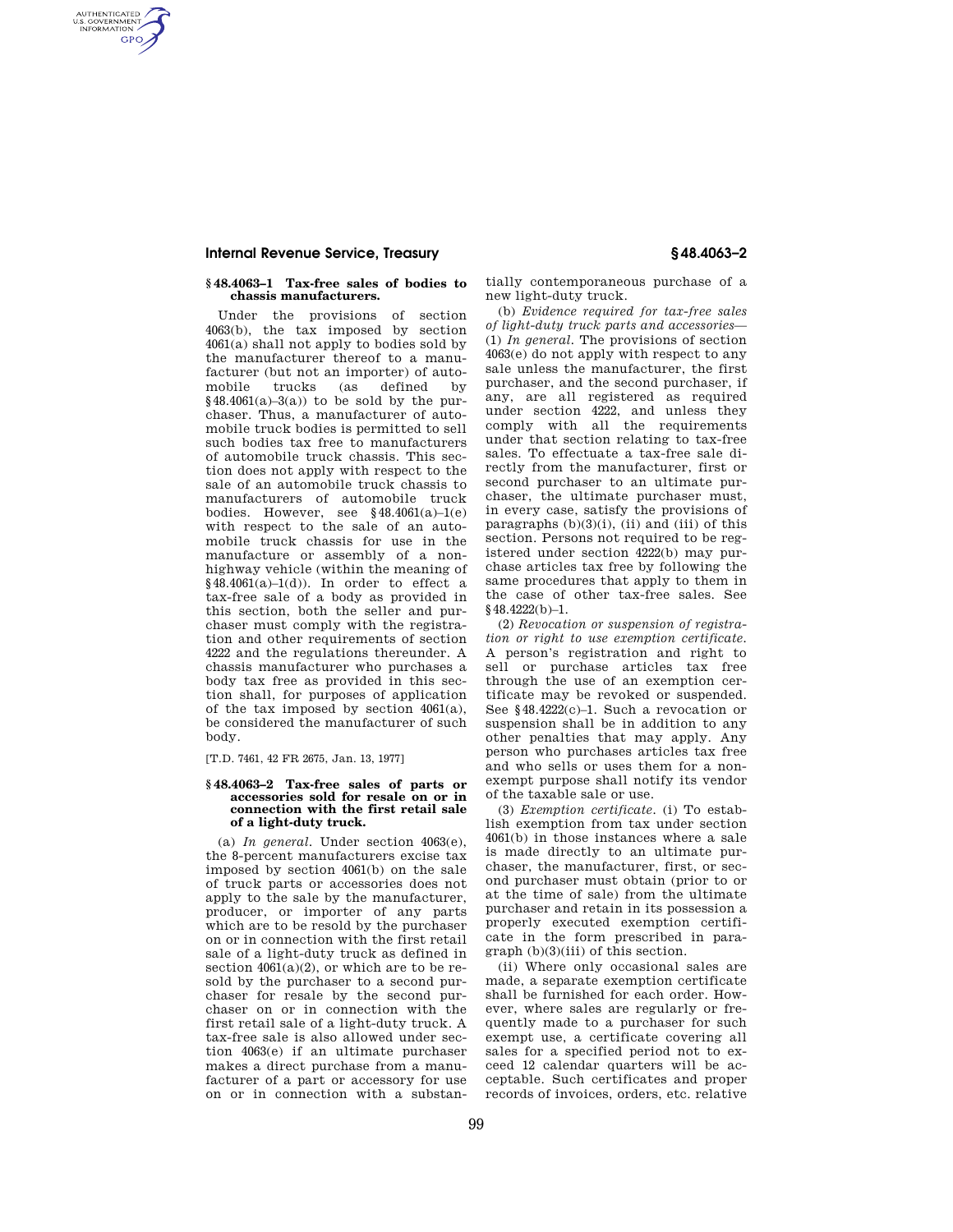# **Internal Revenue Service, Treasury § 48.4063–2**

AUTHENTICATED<br>U.S. GOVERNMENT<br>INFORMATION **GPO** 

## **§ 48.4063–1 Tax-free sales of bodies to chassis manufacturers.**

Under the provisions of section 4063(b), the tax imposed by section  $4061(a)$  shall not apply to bodies sold by the manufacturer thereof to a manufacturer (but not an importer) of automobile trucks (as defined by  $§48.4061(a)-3(a))$  to be sold by the purchaser. Thus, a manufacturer of automobile truck bodies is permitted to sell such bodies tax free to manufacturers of automobile truck chassis. This section does not apply with respect to the sale of an automobile truck chassis to manufacturers of automobile truck bodies. However, see  $§48.4061(a)-1(e)$ with respect to the sale of an automobile truck chassis for use in the manufacture or assembly of a nonhighway vehicle (within the meaning of  $§48.4061(a)-1(d)$ ). In order to effect a tax-free sale of a body as provided in this section, both the seller and purchaser must comply with the registration and other requirements of section 4222 and the regulations thereunder. A chassis manufacturer who purchases a body tax free as provided in this section shall, for purposes of application of the tax imposed by section  $4061(a)$ , be considered the manufacturer of such body.

[T.D. 7461, 42 FR 2675, Jan. 13, 1977]

## **§ 48.4063–2 Tax-free sales of parts or accessories sold for resale on or in connection with the first retail sale of a light-duty truck.**

(a) *In general.* Under section 4063(e), the 8-percent manufacturers excise tax imposed by section 4061(b) on the sale of truck parts or accessories does not apply to the sale by the manufacturer, producer, or importer of any parts which are to be resold by the purchaser on or in connection with the first retail sale of a light-duty truck as defined in section  $4061(a)(2)$ , or which are to be resold by the purchaser to a second purchaser for resale by the second purchaser on or in connection with the first retail sale of a light-duty truck. A tax-free sale is also allowed under section 4063(e) if an ultimate purchaser makes a direct purchase from a manufacturer of a part or accessory for use on or in connection with a substantially contemporaneous purchase of a new light-duty truck.

(b) *Evidence required for tax-free sales of light-duty truck parts and accessories*— (1) *In general.* The provisions of section 4063(e) do not apply with respect to any sale unless the manufacturer, the first purchaser, and the second purchaser, if any, are all registered as required under section 4222, and unless they comply with all the requirements under that section relating to tax-free sales. To effectuate a tax-free sale directly from the manufacturer, first or second purchaser to an ultimate purchaser, the ultimate purchaser must, in every case, satisfy the provisions of paragraphs  $(b)(3)(i)$ ,  $(ii)$  and  $(iii)$  of this section. Persons not required to be registered under section 4222(b) may purchase articles tax free by following the same procedures that apply to them in the case of other tax-free sales. See §48.4222(b)–1.

(2) *Revocation or suspension of registration or right to use exemption certificate.*  A person's registration and right to sell or purchase articles tax free through the use of an exemption certificate may be revoked or suspended. See §48.4222(c)–1. Such a revocation or suspension shall be in addition to any other penalties that may apply. Any person who purchases articles tax free and who sells or uses them for a nonexempt purpose shall notify its vendor of the taxable sale or use.

(3) *Exemption certificate.* (i) To establish exemption from tax under section 4061(b) in those instances where a sale is made directly to an ultimate purchaser, the manufacturer, first, or second purchaser must obtain (prior to or at the time of sale) from the ultimate purchaser and retain in its possession a properly executed exemption certificate in the form prescribed in paragraph (b)(3)(iii) of this section.

(ii) Where only occasional sales are made, a separate exemption certificate shall be furnished for each order. However, where sales are regularly or frequently made to a purchaser for such exempt use, a certificate covering all sales for a specified period not to exceed 12 calendar quarters will be acceptable. Such certificates and proper records of invoices, orders, etc. relative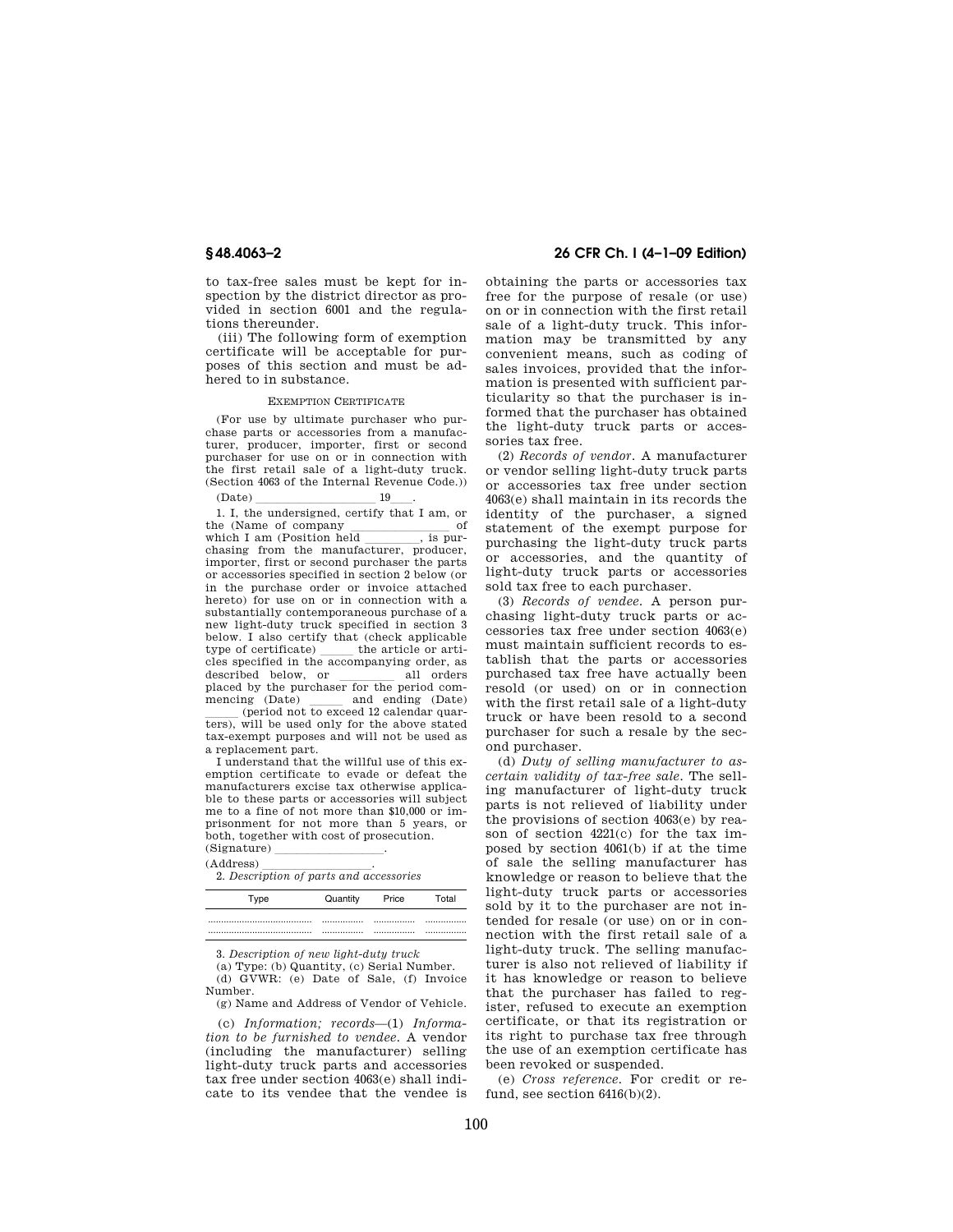to tax-free sales must be kept for inspection by the district director as provided in section 6001 and the regulations thereunder.

(iii) The following form of exemption certificate will be acceptable for purposes of this section and must be adhered to in substance.

### EXEMPTION CERTIFICATE

(For use by ultimate purchaser who purchase parts or accessories from a manufacturer, producer, importer, first or second purchaser for use on or in connection with the first retail sale of a light-duty truck. (Section 4063 of the Internal Revenue Code.))

 $2(Date)$  19  $\frac{19}{1}$ . I, the undersigned, certify that I am, or the (Name of company of which I am (Position held is purwhich I am (Position held  $\frac{1}{\text{chasing}}$ , is pur-<br>chasing from the manufacturer, producer, importer, first or second purchaser the parts or accessories specified in section 2 below (or in the purchase order or invoice attached hereto) for use on or in connection with a substantially contemporaneous purchase of a new light-duty truck specified in section 3 below. I also certify that (check applicable<br>type of certificate) the article or artitype of certificate) \_\_\_\_\_\_ the article or articles specified in the accompanying order, as described below, or \_\_\_\_\_\_\_ all orders placed by the purchaser for the period commencing (Date)  $\frac{\text{and ending (Date)}}{\text{(period not to exceed 12 calendar our)}}$  $\frac{1}{\text{terms}}$  (period not to exceed 12 calendar quarters), will be used only for the above stated tax-exempt purposes and will not be used as a replacement part.

I understand that the willful use of this exemption certificate to evade or defeat the manufacturers excise tax otherwise applicable to these parts or accessories will subject me to a fine of not more than \$10,000 or imprisonment for not more than 5 years, or both, together with cost of prosecution.

 $(Signature)$ <sub>(Address)</sub>

(Address) **letter** 2. *Description of parts and accessories* 

| ivpe | Quantity | Price | Гоtal |
|------|----------|-------|-------|
|      |          |       |       |
|      |          |       |       |

3. *Description of new light-duty truck* 

(a) Type: (b) Quantity, (c) Serial Number. (d) GVWR: (e) Date of Sale, (f) Invoice Number.

(g) Name and Address of Vendor of Vehicle.

(c) *Information; records*—(1) *Information to be furnished to vendee.* A vendor (including the manufacturer) selling light-duty truck parts and accessories tax free under section 4063(e) shall indicate to its vendee that the vendee is

**§ 48.4063–2 26 CFR Ch. I (4–1–09 Edition)** 

obtaining the parts or accessories tax free for the purpose of resale (or use) on or in connection with the first retail sale of a light-duty truck. This information may be transmitted by any convenient means, such as coding of sales invoices, provided that the information is presented with sufficient particularity so that the purchaser is informed that the purchaser has obtained the light-duty truck parts or accessories tax free.

(2) *Records of vendor.* A manufacturer or vendor selling light-duty truck parts or accessories tax free under section 4063(e) shall maintain in its records the identity of the purchaser, a signed statement of the exempt purpose for purchasing the light-duty truck parts or accessories, and the quantity of light-duty truck parts or accessories sold tax free to each purchaser.

(3) *Records of vendee.* A person purchasing light-duty truck parts or accessories tax free under section 4063(e) must maintain sufficient records to establish that the parts or accessories purchased tax free have actually been resold (or used) on or in connection with the first retail sale of a light-duty truck or have been resold to a second purchaser for such a resale by the second purchaser.

(d) *Duty of selling manufacturer to ascertain validity of tax-free sale.* The selling manufacturer of light-duty truck parts is not relieved of liability under the provisions of section 4063(e) by reason of section 4221(c) for the tax imposed by section 4061(b) if at the time of sale the selling manufacturer has knowledge or reason to believe that the light-duty truck parts or accessories sold by it to the purchaser are not intended for resale (or use) on or in connection with the first retail sale of a light-duty truck. The selling manufacturer is also not relieved of liability if it has knowledge or reason to believe that the purchaser has failed to register, refused to execute an exemption certificate, or that its registration or its right to purchase tax free through the use of an exemption certificate has been revoked or suspended.

(e) *Cross reference.* For credit or refund, see section 6416(b)(2).